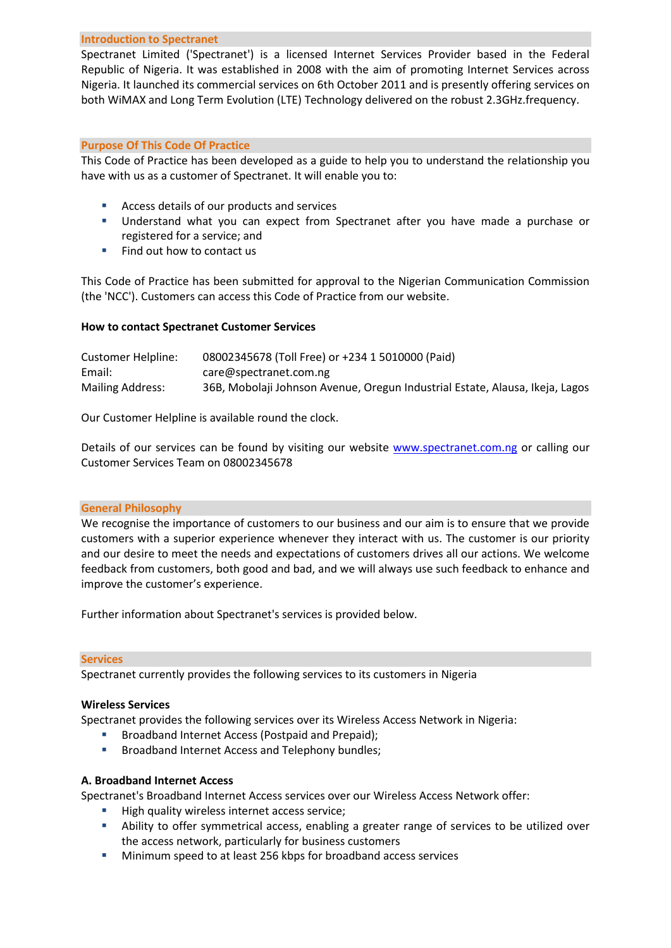### **Introduction to Spectranet**

Spectranet Limited ('Spectranet') is a licensed Internet Services Provider based in the Federal Republic of Nigeria. It was established in 2008 with the aim of promoting Internet Services across Nigeria. It launched its commercial services on 6th October 2011 and is presently offering services on both WiMAX and Long Term Evolution (LTE) Technology delivered on the robust 2.3GHz.frequency.

## **Purpose Of This Code Of Practice**

This Code of Practice has been developed as a guide to help you to understand the relationship you have with us as a customer of Spectranet. It will enable you to:

- Access details of our products and services
- Understand what you can expect from Spectranet after you have made a purchase or registered for a service; and
- Find out how to contact us

This Code of Practice has been submitted for approval to the Nigerian Communication Commission (the 'NCC'). Customers can access this Code of Practice from our website.

## **How to contact Spectranet Customer Services**

| Customer Helpline:      | 08002345678 (Toll Free) or +234 1 5010000 (Paid)                             |
|-------------------------|------------------------------------------------------------------------------|
| Email:                  | care@spectranet.com.ng                                                       |
| <b>Mailing Address:</b> | 36B, Mobolaji Johnson Avenue, Oregun Industrial Estate, Alausa, Ikeja, Lagos |

Our Customer Helpline is available round the clock.

Details of our services can be found by visiting our website [www.spectranet.com.ng](http://www.spectranet.com.ng/) or calling our Customer Services Team on 08002345678

#### **General Philosophy**

We recognise the importance of customers to our business and our aim is to ensure that we provide customers with a superior experience whenever they interact with us. The customer is our priority and our desire to meet the needs and expectations of customers drives all our actions. We welcome feedback from customers, both good and bad, and we will always use such feedback to enhance and improve the customer's experience.

Further information about Spectranet's services is provided below.

#### **Services**

Spectranet currently provides the following services to its customers in Nigeria

## **Wireless Services**

Spectranet provides the following services over its Wireless Access Network in Nigeria:

- **Broadband Internet Access (Postpaid and Prepaid);**
- **Broadband Internet Access and Telephony bundles;**

## **A. Broadband Internet Access**

Spectranet's Broadband Internet Access services over our Wireless Access Network offer:

- High quality wireless internet access service;
- Ability to offer symmetrical access, enabling a greater range of services to be utilized over the access network, particularly for business customers
- Minimum speed to at least 256 kbps for broadband access services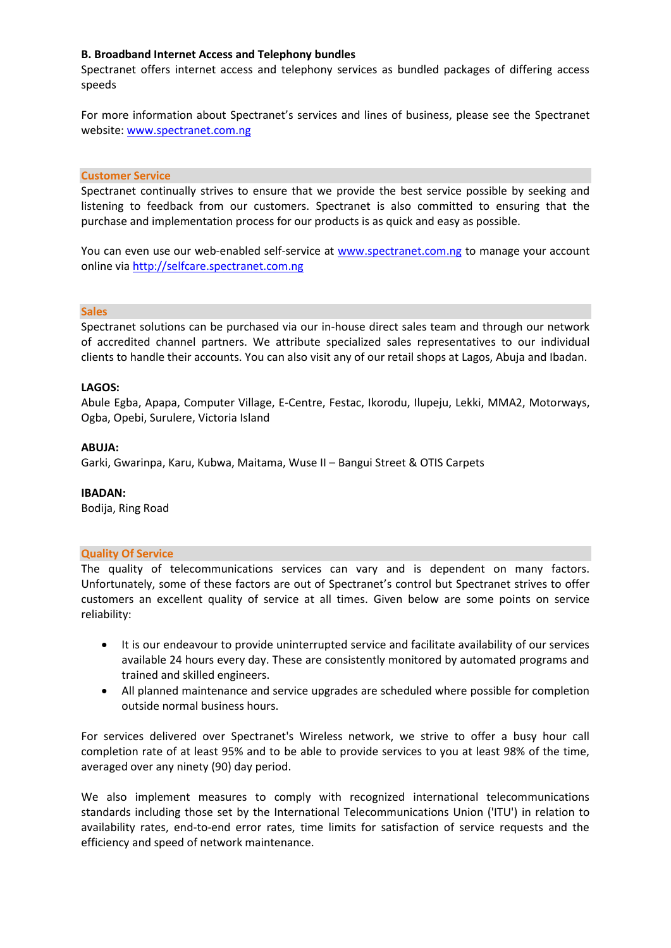# **B. Broadband Internet Access and Telephony bundles**

Spectranet offers internet access and telephony services as bundled packages of differing access speeds

For more information about Spectranet's services and lines of business, please see the Spectranet website[: www.spectranet.com.ng](http://www.spectranet.com.ng/)

## **Customer Service**

Spectranet continually strives to ensure that we provide the best service possible by seeking and listening to feedback from our customers. Spectranet is also committed to ensuring that the purchase and implementation process for our products is as quick and easy as possible.

You can even use our web-enabled self-service at [www.spectranet.com.ng](http://www.spectranet.com.ng/) to manage your account online vi[a http://selfcare.spectranet.com.ng](http://selfcare.spectranet.com.ng/)

#### **Sales**

Spectranet solutions can be purchased via our in-house direct sales team and through our network of accredited channel partners. We attribute specialized sales representatives to our individual clients to handle their accounts. You can also visit any of our retail shops at Lagos, Abuja and Ibadan.

## **LAGOS:**

Abule Egba, Apapa, Computer Village, E-Centre, Festac, Ikorodu, Ilupeju, Lekki, MMA2, Motorways, Ogba, Opebi, Surulere, Victoria Island

## **ABUJA:**

Garki, Gwarinpa, Karu, Kubwa, Maitama, Wuse II – Bangui Street & OTIS Carpets

#### **IBADAN:**

Bodija, Ring Road

### **Quality Of Service**

The quality of telecommunications services can vary and is dependent on many factors. Unfortunately, some of these factors are out of Spectranet's control but Spectranet strives to offer customers an excellent quality of service at all times. Given below are some points on service reliability:

- It is our endeavour to provide uninterrupted service and facilitate availability of our services available 24 hours every day. These are consistently monitored by automated programs and trained and skilled engineers.
- All planned maintenance and service upgrades are scheduled where possible for completion outside normal business hours.

For services delivered over Spectranet's Wireless network, we strive to offer a busy hour call completion rate of at least 95% and to be able to provide services to you at least 98% of the time, averaged over any ninety (90) day period.

We also implement measures to comply with recognized international telecommunications standards including those set by the International Telecommunications Union ('ITU') in relation to availability rates, end-to-end error rates, time limits for satisfaction of service requests and the efficiency and speed of network maintenance.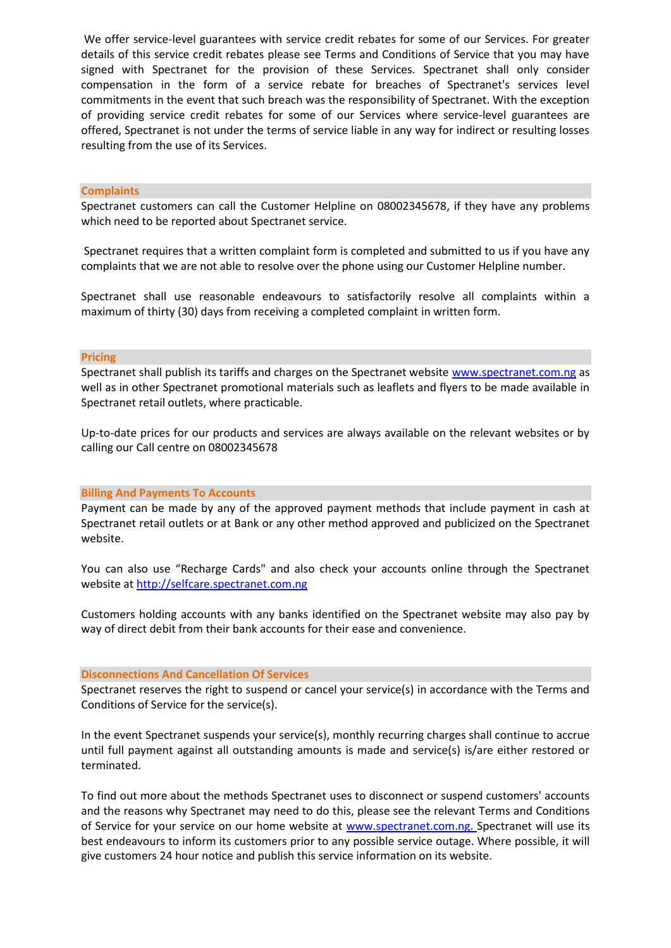We offer service-level guarantees with service credit rebates for some of our Services. For greater details of this service credit rebates please see Terms and Conditions of Service that you may have signed with Spectranet for the provision of these Services. Spectranet shall only consider compensation in the form of a service rebate for breaches of Spectranet's services level commitments in the event that such breach was the responsibility of Spectranet. With the exception of providing service credit rebates for some of our Services where service-level guarantees are offered, Spectranet is not under the terms of service liable in any way for indirect or resulting losses resulting from the use of its Services.

#### **Complaints**

Spectranet customers can call the Customer Helpline on 08002345678, if they have any problems which need to be reported about Spectranet service.

Spectranet requires that a written complaint form is completed and submitted to us if you have any complaints that we are not able to resolve over the phone using our Customer Helpline number.

Spectranet shall use reasonable endeavours to satisfactorily resolve all complaints within a maximum of thirty (30) days from receiving a completed complaint in written form.

## **Pricing**

Spectranet shall publish its tariffs and charges on the Spectranet website [www.spectranet.com.ng](http://www.spectranet.com.ng/) as well as in other Spectranet promotional materials such as leaflets and flyers to be made available in Spectranet retail outlets, where practicable.

Up-to-date prices for our products and services are always available on the relevant websites or by calling our Call centre on 08002345678

#### **Billing And Payments To Accounts**

Payment can be made by any of the approved payment methods that include payment in cash at Spectranet retail outlets or at Bank or any other method approved and publicized on the Spectranet website.

You can also use "Recharge Cards" and also check your accounts online through the Spectranet website at [http://selfcare.spectranet.com.ng](http://selfcare.spectranet.com.ng/)

Customers holding accounts with any banks identified on the Spectranet website may also pay by way of direct debit from their bank accounts for their ease and convenience.

#### **Disconnections And Cancellation Of Services**

Spectranet reserves the right to suspend or cancel your service(s) in accordance with the Terms and Conditions of Service for the service(s).

In the event Spectranet suspends your service(s), monthly recurring charges shall continue to accrue until full payment against all outstanding amounts is made and service(s) is/are either restored or terminated.

To find out more about the methods Spectranet uses to disconnect or suspend customers' accounts and the reasons why Spectranet may need to do this, please see the relevant Terms and Conditions of Service for your service on our home website at [www.spectranet.com.ng.](http://www.spectranet.com.ng/) Spectranet will use its best endeavours to inform its customers prior to any possible service outage. Where possible, it will give customers 24 hour notice and publish this service information on its website.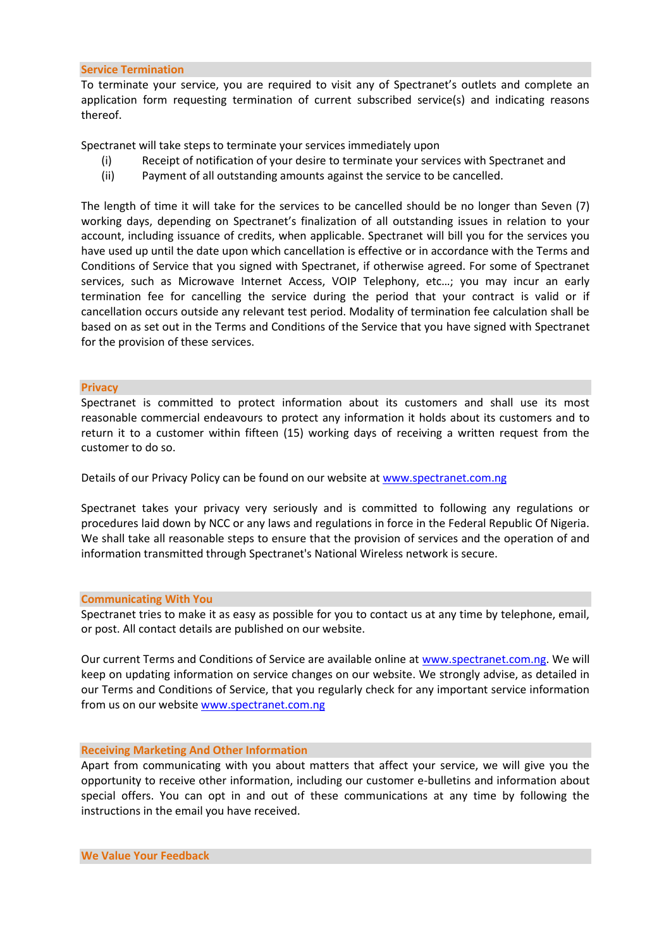#### **Service Termination**

To terminate your service, you are required to visit any of Spectranet's outlets and complete an application form requesting termination of current subscribed service(s) and indicating reasons thereof.

Spectranet will take steps to terminate your services immediately upon

- (i) Receipt of notification of your desire to terminate your services with Spectranet and
- (ii) Payment of all outstanding amounts against the service to be cancelled.

The length of time it will take for the services to be cancelled should be no longer than Seven (7) working days, depending on Spectranet's finalization of all outstanding issues in relation to your account, including issuance of credits, when applicable. Spectranet will bill you for the services you have used up until the date upon which cancellation is effective or in accordance with the Terms and Conditions of Service that you signed with Spectranet, if otherwise agreed. For some of Spectranet services, such as Microwave Internet Access, VOIP Telephony, etc…; you may incur an early termination fee for cancelling the service during the period that your contract is valid or if cancellation occurs outside any relevant test period. Modality of termination fee calculation shall be based on as set out in the Terms and Conditions of the Service that you have signed with Spectranet for the provision of these services.

#### **Privacy**

Spectranet is committed to protect information about its customers and shall use its most reasonable commercial endeavours to protect any information it holds about its customers and to return it to a customer within fifteen (15) working days of receiving a written request from the customer to do so.

Details of our Privacy Policy can be found on our website a[t www.spectranet.com.ng](http://www.spectranet.com.ng/)

Spectranet takes your privacy very seriously and is committed to following any regulations or procedures laid down by NCC or any laws and regulations in force in the Federal Republic Of Nigeria. We shall take all reasonable steps to ensure that the provision of services and the operation of and information transmitted through Spectranet's National Wireless network is secure.

#### **Communicating With You**

Spectranet tries to make it as easy as possible for you to contact us at any time by telephone, email, or post. All contact details are published on our website.

Our current Terms and Conditions of Service are available online a[t www.spectranet.com.ng.](http://www.spectranet.com.ng/) We will keep on updating information on service changes on our website. We strongly advise, as detailed in our Terms and Conditions of Service, that you regularly check for any important service information from us on our websit[e www.spectranet.com.ng](http://www.spectranet.com.ng/) 

#### **Receiving Marketing And Other Information**

Apart from communicating with you about matters that affect your service, we will give you the opportunity to receive other information, including our customer e-bulletins and information about special offers. You can opt in and out of these communications at any time by following the instructions in the email you have received.